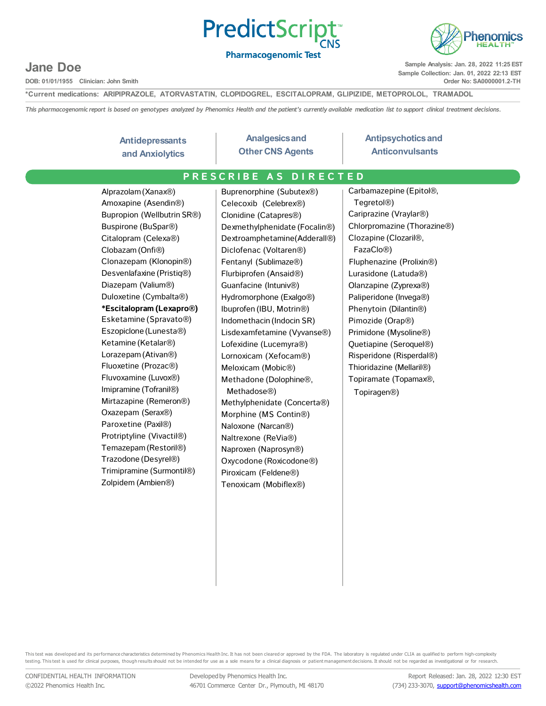



**DOB: 01/01/1955 Clinician: John Smith**

**Sample Analysis: Jan. 28, 2022 11:25 EST Sample Collection: Jan. 01, 2022 22:13 EST Order No: SA0000001.2-TH**

henomics

**\*Current medications: ARIPIPRAZOLE, ATORVASTATIN, CLOPIDOGREL, ESCITALOPRAM, GLIPIZIDE, METOPROLOL, TRAMADOL**

This pharmacogenomic report is based on genotypes analyzed by Phenomics Health and the patient's currently available medication list to support clinical treatment decisions.

#### **Antidepressants and Anxiolytics**

**Analgesicsand Other CNS Agents**

#### **Antipsychoticsand Anticonvulsants**

### **Example 20 PRESCRIBE AS DIRECTED**

Alprazolam(Xanax®) Amoxapine (Asendin®) Bupropion (Wellbutrin SR®) Buspirone (BuSpar®) Citalopram (Celexa®) Clobazam (Onfi®) Clonazepam (Klonopin®) Desvenlafaxine (Pristiq®) Diazepam (Valium®) Duloxetine (Cymbalta®) **\*Escitalopram (Lexapro®)** Esketamine (Spravato®) Eszopiclone (Lunesta®) Ketamine (Ketalar®) Lorazepam (Ativan®) Fluoxetine (Prozac®) Fluvoxamine (Luvox®) Imipramine (Tofranil®) Mirtazapine (Remeron®) Oxazepam (Serax®) Paroxetine (Paxil®) Protriptyline (Vivactil®) Temazepam(Restoril®) Trazodone (Desyrel®) Trimipramine (Surmontil®) Zolpidem (Ambien®)

Buprenorphine (Subutex®) Celecoxib (Celebrex®) Clonidine (Catapres®) Dexmethylphenidate (Focalin®) Dextroamphetamine(Adderall®) Diclofenac (Voltaren®) Fentanyl (Sublimaze®) Flurbiprofen (Ansaid®) Guanfacine (Intuniv®) Hydromorphone (Exalgo®) Ibuprofen (IBU, Motrin®) Indomethacin (Indocin SR) Lisdexamfetamine (Vyvanse®) Lofexidine (Lucemyra®) Lornoxicam (Xefocam®) Meloxicam (Mobic®) Methadone (Dolophine®, Methadose®) Methylphenidate (Concerta®) Morphine (MS Contin®) Naloxone (Narcan®) Naltrexone (ReVia®) Naproxen (Naprosyn®) Oxycodone (Roxicodone®) Piroxicam (Feldene®) Tenoxicam (Mobiflex®)

Carbamazepine (Epitol®, Tegretol®) Cariprazine (Vraylar®) Chlorpromazine (Thorazine®) Clozapine (Clozaril®, FazaClo®) Fluphenazine (Prolixin®) Lurasidone (Latuda®) Olanzapine (Zyprexa®) Paliperidone (Invega®) Phenytoin (Dilantin®) Pimozide (Orap®) Primidone (Mysoline®) Quetiapine (Seroquel®) Risperidone (Risperdal®) Thioridazine (Mellaril®) Topiramate (Topamax®, Topiragen®)

This test was developed and its performance characteristics determined by Phenomics Health Inc. It has not been cleared or approved by the FDA. The laboratory is regulated under CLIA as qualified to perform high-complexity testing. This test is used for clinical purposes, though results should not be intended for use as a sole means for a clinical diagnosis or patient management decisions. It should not be regarded as investigational or for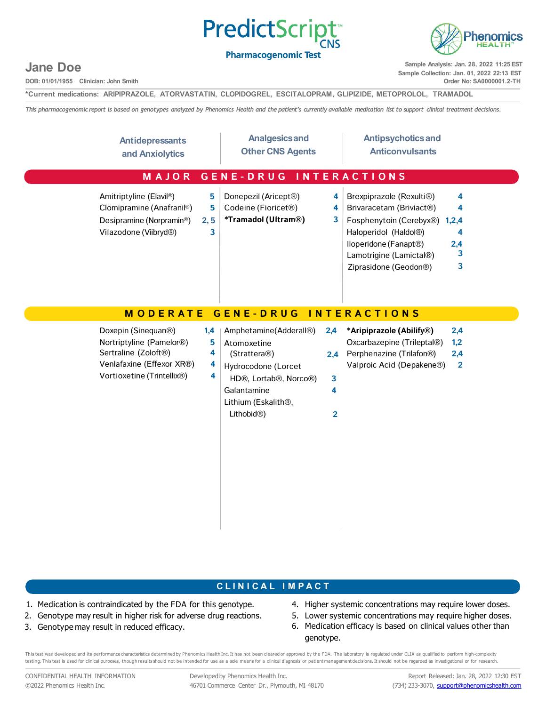



**DOB: 01/01/1955 Clinician: John Smith**

**Sample Analysis: Jan. 28, 2022 11:25 EST Sample Collection: Jan. 01, 2022 22:13 EST Order No: SA0000001.2-TH**

**\*Current medications: ARIPIPRAZOLE, ATORVASTATIN, CLOPIDOGREL, ESCITALOPRAM, GLIPIZIDE, METOPROLOL, TRAMADOL**

This pharmacogenomic report is based on genotypes analyzed by Phenomics Health and the patient's currently available medication list to support clinical treatment decisions.

| <b>Antidepressants</b><br>and Anxiolytics                                                                                                                    | <b>Analgesics and</b><br><b>Other CNS Agents</b>                                                                                                                                                                               | <b>Antipsychotics and</b><br><b>Anticonvulsants</b>                                                                                                                                                                                         |
|--------------------------------------------------------------------------------------------------------------------------------------------------------------|--------------------------------------------------------------------------------------------------------------------------------------------------------------------------------------------------------------------------------|---------------------------------------------------------------------------------------------------------------------------------------------------------------------------------------------------------------------------------------------|
| MAJOR                                                                                                                                                        | <b>GENE-DRUG</b>                                                                                                                                                                                                               | <b>INTERACTIONS</b>                                                                                                                                                                                                                         |
| Amitriptyline (Elavil®)<br>Clomipramine (Anafranil®)<br>Desipramine (Norpramin®)<br>Vilazodone (Viibryd®)                                                    | 5<br>Donepezil (Aricept®)<br>4<br>Codeine (Fioricet <sup>®</sup> )<br>5<br>4<br>*Tramadol (Ultram®)<br>3<br>2, 5<br>3                                                                                                          | Brexpiprazole (Rexulti®)<br>4<br>Brivaracetam (Briviact®)<br>4<br>Fosphenytoin (Cerebyx®)<br>1,2,4<br>Haloperidol (Haldol®)<br>4<br>lloperidone (Fanapt <sup>®</sup> )<br>2,4<br>3<br>Lamotrigine (Lamictal®)<br>Ziprasidone (Geodon®)<br>3 |
| <b>MODERATE</b>                                                                                                                                              | <b>GENE-DRUG</b>                                                                                                                                                                                                               | <b>INTERACTIONS</b>                                                                                                                                                                                                                         |
| Doxepin (Sinequan <sup>®</sup> )<br>Nortriptyline (Pamelor®)<br>Sertraline (Zoloft <sup>®</sup> )<br>Venlafaxine (Effexor XR®)<br>Vortioxetine (Trintellix®) | Amphetamine(Adderall®)<br>2,4<br>1,4<br>5<br>Atomoxetine<br>4<br>(Strattera®)<br>2,4<br>4<br>Hydrocodone (Lorcet<br>4<br>HD®, Lortab®, Norco®)<br>3<br>Galantamine<br>4<br>Lithium (Eskalith®,<br>Lithobid <sup>®</sup> )<br>2 | *Aripiprazole (Abilify®)<br>2,4<br>Oxcarbazepine (Trileptal®)<br>1,2<br>Perphenazine (Trilafon®)<br>2,4<br>Valproic Acid (Depakene®)<br>$\overline{2}$                                                                                      |

### **C L I N I C A L I M P A C T**

- 1. Medication is contraindicated by the FDA for this genotype.
- 2. Genotype may result in higher risk for adverse drug reactions.
- 3. Genotype may result in reduced efficacy.
- 4. Higher systemic concentrations may require lower doses.
- 5. Lower systemic concentrations may require higher doses. 6. Medication efficacy is based on clinical values other than genotype.

This test was developed and its performance characteristics determined by Phenomics Health Inc. It has not been cleared or approved by the FDA. The laboratory is regulated under CLIA as qualified to perform high-complexity testing. This test is used for clinical purposes, though results should not be intended for use as a sole means for a clinical diagnosis or patient management decisions. It should not be regarded as investigational or for

CONFIDENTIAL HEALTH INFORMATION ©2022 Phenomics Health Inc.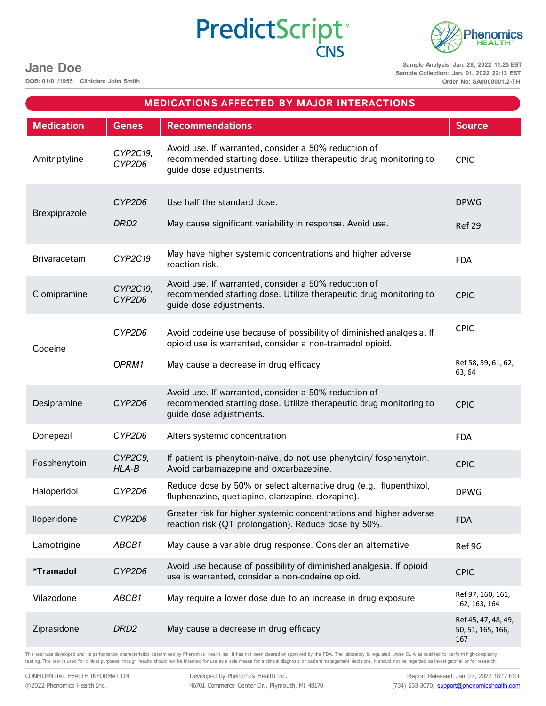

**DOB: 01/01/1955 Clinician: John Smith**

**Sample Analysis: Jan. 28, 2022 11:25 EST Sample Collection: Jan. 01, 2022 22:13 EST Order No: SA0000001.2-TH**

| <b>MEDICATIONS AFFECTED BY MAJOR INTERACTIONS</b> |                                       |                                                                                                                                                      |                                                 |
|---------------------------------------------------|---------------------------------------|------------------------------------------------------------------------------------------------------------------------------------------------------|-------------------------------------------------|
| <b>Medication</b>                                 | <b>Genes</b>                          | <b>Recommendations</b>                                                                                                                               | <b>Source</b>                                   |
| Amitriptyline                                     | CYP2C19,<br>CYP2D6                    | Avoid use. If warranted, consider a 50% reduction of<br>recommended starting dose. Utilize therapeutic drug monitoring to<br>guide dose adjustments. | <b>CPIC</b>                                     |
| Brexpiprazole                                     | CYP2D6                                | Use half the standard dose.                                                                                                                          | <b>DPWG</b>                                     |
|                                                   | DRD <sub>2</sub>                      | May cause significant variability in response. Avoid use.                                                                                            | Ref 29                                          |
| Brivaracetam                                      | CYP2C19                               | May have higher systemic concentrations and higher adverse<br>reaction risk.                                                                         | <b>FDA</b>                                      |
| Clomipramine                                      | CYP2C19,<br>CYP2D6                    | Avoid use. If warranted, consider a 50% reduction of<br>recommended starting dose. Utilize therapeutic drug monitoring to<br>guide dose adjustments. | <b>CPIC</b>                                     |
| Codeine                                           | CYP2D6                                | Avoid codeine use because of possibility of diminished analgesia. If<br>opioid use is warranted, consider a non-tramadol opioid.                     | <b>CPIC</b>                                     |
| OPRM1                                             | May cause a decrease in drug efficacy | Ref 58, 59, 61, 62,<br>63, 64                                                                                                                        |                                                 |
| Desipramine                                       | CYP2D6                                | Avoid use. If warranted, consider a 50% reduction of<br>recommended starting dose. Utilize therapeutic drug monitoring to<br>guide dose adjustments. | <b>CPIC</b>                                     |
| Donepezil                                         | CYP2D6                                | Alters systemic concentration                                                                                                                        | <b>FDA</b>                                      |
| Fosphenytoin                                      | CYP2C9,<br>$HLA-B$                    | If patient is phenytoin-naïve, do not use phenytoin/fosphenytoin.<br>Avoid carbamazepine and oxcarbazepine.                                          | <b>CPIC</b>                                     |
| Haloperidol                                       | CYP2D6                                | Reduce dose by 50% or select alternative drug (e.g., flupenthixol,<br>fluphenazine, quetiapine, olanzapine, clozapine).                              | <b>DPWG</b>                                     |
| lloperidone                                       | CYP2D6                                | Greater risk for higher systemic concentrations and higher adverse<br>reaction risk (QT prolongation). Reduce dose by 50%.                           | <b>FDA</b>                                      |
| Lamotrigine                                       | ABCB1                                 | May cause a variable drug response. Consider an alternative                                                                                          | Ref 96                                          |
| <i><b>*Tramadol</b></i>                           | CYP2D6                                | Avoid use because of possibility of diminished analgesia. If opioid<br>use is warranted, consider a non-codeine opioid.                              | <b>CPIC</b>                                     |
| Vilazodone                                        | ABCB1                                 | May require a lower dose due to an increase in drug exposure                                                                                         | Ref 97, 160, 161,<br>162, 163, 164              |
| Ziprasidone                                       | DRD <sub>2</sub>                      | May cause a decrease in drug efficacy                                                                                                                | Ref 45, 47, 48, 49,<br>50, 51, 165, 166,<br>167 |

PredictScript<sup>®</sup>

This test was developed and its performance characteristics determined by Phenomics Health Inc. It has not been cleared or approved by the FDA. The laboratory is regulated under CLIA as qualified to perform high-complexity testing. This test is used for clinical purposes, though results should not be intented for use as a sole means for a clinical diagnosis or patient management decisions. It should not be regarded as investigatorial or for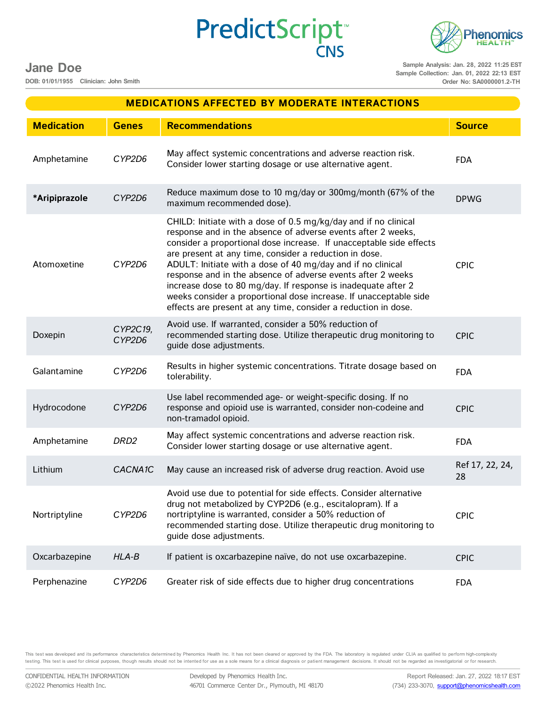**DOB: 01/01/1955 Clinician: John Smith**

**Sample Analysis: Jan. 28, 2022 11:25 EST Sample Collection: Jan. 01, 2022 22:13 EST Order No: SA0000001.2-TH**

**Phenomics HEALTI** 

| Amphetamine   | CYP2D6               | May affect systemic concentrations and adverse reaction risk.<br>Consider lower starting dosage or use alternative agent.                                                                                                                                                                                                                                                                                                                                                                                                                                                                              | <b>FDA</b>            |
|---------------|----------------------|--------------------------------------------------------------------------------------------------------------------------------------------------------------------------------------------------------------------------------------------------------------------------------------------------------------------------------------------------------------------------------------------------------------------------------------------------------------------------------------------------------------------------------------------------------------------------------------------------------|-----------------------|
| *Aripiprazole | CYP2D6               | Reduce maximum dose to 10 mg/day or 300mg/month (67% of the<br>maximum recommended dose).                                                                                                                                                                                                                                                                                                                                                                                                                                                                                                              | <b>DPWG</b>           |
| Atomoxetine   | CYP2D6               | CHILD: Initiate with a dose of 0.5 mg/kg/day and if no clinical<br>response and in the absence of adverse events after 2 weeks,<br>consider a proportional dose increase. If unacceptable side effects<br>are present at any time, consider a reduction in dose.<br>ADULT: Initiate with a dose of 40 mg/day and if no clinical<br>response and in the absence of adverse events after 2 weeks<br>increase dose to 80 mg/day. If response is inadequate after 2<br>weeks consider a proportional dose increase. If unacceptable side<br>effects are present at any time, consider a reduction in dose. | <b>CPIC</b>           |
| Doxepin       | CYP2C19,<br>CYP2D6   | Avoid use. If warranted, consider a 50% reduction of<br>recommended starting dose. Utilize therapeutic drug monitoring to<br>guide dose adjustments.                                                                                                                                                                                                                                                                                                                                                                                                                                                   | <b>CPIC</b>           |
| Galantamine   | CYP2D6               | Results in higher systemic concentrations. Titrate dosage based on<br>tolerability.                                                                                                                                                                                                                                                                                                                                                                                                                                                                                                                    | <b>FDA</b>            |
| Hydrocodone   | CYP2D6               | Use label recommended age- or weight-specific dosing. If no<br>response and opioid use is warranted, consider non-codeine and<br>non-tramadol opioid.                                                                                                                                                                                                                                                                                                                                                                                                                                                  | <b>CPIC</b>           |
| Amphetamine   | DRD <sub>2</sub>     | May affect systemic concentrations and adverse reaction risk.<br>Consider lower starting dosage or use alternative agent.                                                                                                                                                                                                                                                                                                                                                                                                                                                                              | <b>FDA</b>            |
| Lithium       | CACNA <sub>1</sub> C | May cause an increased risk of adverse drug reaction. Avoid use                                                                                                                                                                                                                                                                                                                                                                                                                                                                                                                                        | Ref 17, 22, 24,<br>28 |
| Nortriptyline | CYP2D6               | Avoid use due to potential for side effects. Consider alternative<br>drug not metabolized by CYP2D6 (e.g., escitalopram). If a<br>nortriptyline is warranted, consider a 50% reduction of<br>recommended starting dose. Utilize therapeutic drug monitoring to<br>quide dose adjustments.                                                                                                                                                                                                                                                                                                              | <b>CPIC</b>           |
| Oxcarbazepine | $HLA-B$              | If patient is oxcarbazepine naïve, do not use oxcarbazepine.                                                                                                                                                                                                                                                                                                                                                                                                                                                                                                                                           | <b>CPIC</b>           |
| Perphenazine  | CYP2D6               | Greater risk of side effects due to higher drug concentrations                                                                                                                                                                                                                                                                                                                                                                                                                                                                                                                                         | <b>FDA</b>            |
|               |                      |                                                                                                                                                                                                                                                                                                                                                                                                                                                                                                                                                                                                        |                       |

**Medication Genes Recommendations Source**

**MEDICATIONS AFFECTED BY MODERATE INTERACTIONS**

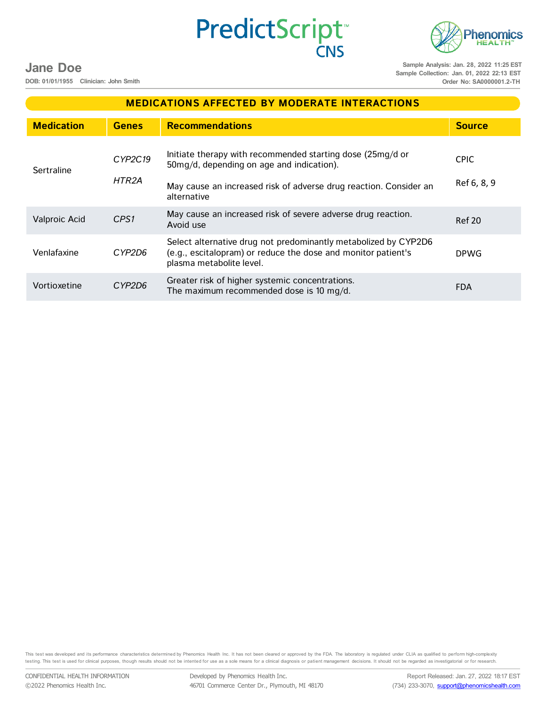**Phenomics HEALTI Sample Analysis: Jan. 28, 2022 11:25 EST**

### **Jane Doe**

**DOB: 01/01/1955 Clinician: John Smith**

**Sample Collection: Jan. 01, 2022 22:13 EST Order No: SA0000001.2-TH**

| <b>MEDICATIONS AFFECTED BY MODERATE INTERACTIONS</b> |                  |                                                                                                                                                                                             |                            |
|------------------------------------------------------|------------------|---------------------------------------------------------------------------------------------------------------------------------------------------------------------------------------------|----------------------------|
| <b>Medication</b>                                    | <b>Genes</b>     | <b>Recommendations</b>                                                                                                                                                                      | <b>Source</b>              |
| Sertraline                                           | CYP2C19<br>HTR2A | Initiate therapy with recommended starting dose (25mg/d or<br>50mg/d, depending on age and indication).<br>May cause an increased risk of adverse drug reaction. Consider an<br>alternative | <b>CPIC</b><br>Ref 6, 8, 9 |
| Valproic Acid                                        | CPS1             | May cause an increased risk of severe adverse drug reaction.<br>Avoid use                                                                                                                   | <b>Ref 20</b>              |
| Venlafaxine                                          | CYP2D6           | Select alternative drug not predominantly metabolized by CYP2D6<br>(e.g., escitalopram) or reduce the dose and monitor patient's<br>plasma metabolite level.                                | <b>DPWG</b>                |
| Vortioxetine                                         | CYP2D6           | Greater risk of higher systemic concentrations.<br>The maximum recommended dose is 10 mg/d.                                                                                                 | <b>FDA</b>                 |

PredictScript<sup>\*</sup>

This test was developed and its performance characteristics determined by Phenomics Health Inc. It has not been cleared or approved by the FDA. The laboratory is regulated under CLIA as qualified to perform high-complexity testing. This test is used for clinical purposes, though results should not be intented for use as a sole means for a clinical diagnosis or patient management decisions. It should not be regarded as investigatorial or for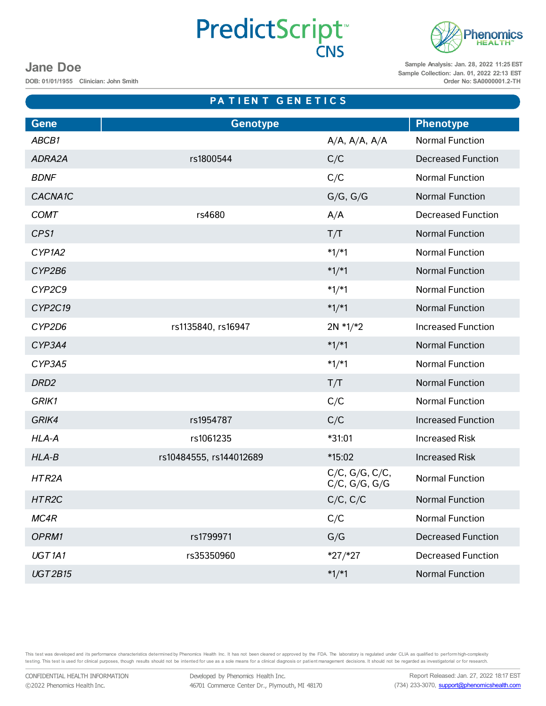# **PredictScript CNS**



**Sample Analysis: Jan. 28, 2022 11:25 EST Sample Collection: Jan. 01, 2022 22:13 EST Order No: SA0000001.2-TH**

### **Jane Doe**

**DOB: 01/01/1955 Clinician: John Smith**

# **Gene Genotype Phenotype** *ABCB1* A/A, A/A, A/A Normal Function *ADRA2A* rs1800544 C/C Decreased Function **BDNF** BONF **BONF BONF C**/C **Normal Function CACNA1C CACNA1C G/G, G/G Normal Function COMT** rs4680 rs4680 A/A Decreased Function *CPS1* Normal Function **CPS1** *CYP1A2* \*1/\*1 Normal Function *CYP2B6* \*1/\*1 Normal Function *CYP2C9* \*1/\*1 Normal Function *CYP2C19* \*1/\*1 Normal Function *CYP2D6* rs1135840, rs16947 2N \*1/\*2 Increased Function *CYP3A4* \*1/\*1 Normal Function *CYP3A5* \*1/\*1 Normal Function **DRD2 DRD2 T/T** Normal Function *GRIK1* C/C Normal Function *GRIK4* rs1954787 C/C Increased Function *HLA-A* rs1061235 \*31:01 Increased Risk *HLA-B* rs10484555, rs144012689 \*15:02 Increased Risk *HTR2A* C/C, G/G, C/C, C/C, G/G, C/C,<br>C/C, G/G, G/G Normal Function *HTR2C* C/C, C/C Normal Function *MC4R* C/C Normal Function **OPRM1 rs1799971 G/G** Decreased Function *UGT1A1* rs35350960 \*27/\*27 Decreased Function *UGT2B15* \*1/\*1 Normal Function **PA T I E N T G E N E T I C S**

This test was developed and its performance characteristics determined by Phenomics Health Inc. It has not been cleared or approved by the FDA. The laboratory is regulated under CLIA as qualified to perform high-complexity testing. This test is used for clinical purposes, though results should not be intented for use as a sole means for a clinical diagnosis or patient management decisions. It should not be regarded as investigatorial or for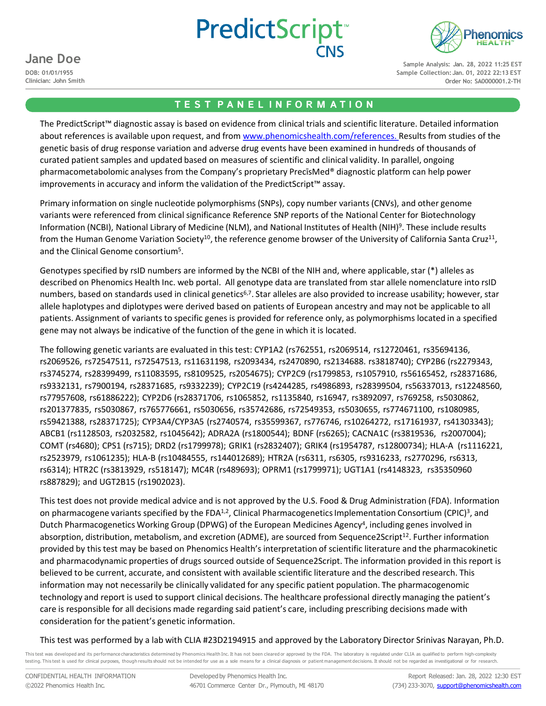



**DOB: 01/01/1955 Clinician: John Smith**

**Sample Analysis: Jan. 28, 2022 11:25 EST Sample Collection: Jan. 01, 2022 22:13 EST Order No: SA0000001.2-TH**

### **T E S T P A N E L I N F O R M A T I O N**

The PredictScript™ diagnostic assay is based on evidence from clinical trials and scientific literature. Detailed information about references is available upon request, and from [www.phenomicshealth.com/references.](http://www.phenomicshealth.com/references) Results from studies of the genetic basis of drug response variation and adverse drug events have been examined in hundreds of thousands of curated patient samples and updated based on measures of scientific and clinical validity. In parallel, ongoing pharmacometabolomic analyses from the Company's proprietary PrecīsMed® diagnostic platform can help power improvements in accuracy and inform the validation of the PredictScript™ assay.

Primary information on single nucleotide polymorphisms (SNPs), copy number variants (CNVs), and other genome variants were referenced from clinical significance Reference SNP reports of the National Center for Biotechnology Information (NCBI), National Library of Medicine (NLM), and National Institutes of Health (NIH)9. These include results from the Human Genome Variation Society<sup>10</sup>, the reference genome browser of the University of California Santa Cruz<sup>11</sup>, and the Clinical Genome consortium<sup>5</sup>.

Genotypes specified by rsID numbers are informed by the NCBI of the NIH and, where applicable, star (\*) alleles as described on Phenomics Health Inc. web portal. All genotype data are translated from star allele nomenclature into rsID numbers, based on standards used in clinical genetics<sup>6,7</sup>. Star alleles are also provided to increase usability; however, star allele haplotypes and diplotypes were derived based on patients of European ancestry and may not be applicable to all patients. Assignment of variants to specific genes is provided for reference only, as polymorphisms located in a specified gene may not always be indicative of the function of the gene in which it is located.

The following genetic variants are evaluated in this test: CYP1A2 (rs762551, rs2069514, rs12720461, rs35694136, rs2069526, rs72547511, rs72547513, rs11631198, rs2093434, rs2470890, rs2134688. rs3818740); CYP2B6 (rs2279343, rs3745274, rs28399499, rs11083595, rs8109525, rs2054675); CYP2C9 (rs1799853, rs1057910, rs56165452, rs28371686, rs9332131, rs7900194, rs28371685, rs9332239); CYP2C19 (rs4244285, rs4986893, rs28399504, rs56337013, rs12248560, rs77957608, rs61886222); CYP2D6 (rs28371706, rs1065852, rs1135840, rs16947, rs3892097, rs769258, rs5030862, rs201377835, rs5030867, rs765776661, rs5030656, rs35742686, rs72549353, rs5030655, rs774671100, rs1080985, rs59421388, rs28371725); CYP3A4/CYP3A5 (rs2740574, rs35599367, rs776746, rs10264272, rs17161937, rs41303343); ABCB1 (rs1128503, rs2032582, rs1045642); ADRA2A (rs1800544); BDNF (rs6265); CACNA1C (rs3819536, rs2007004); COMT (rs4680); CPS1 (rs715); DRD2 (rs1799978); GRIK1 (rs2832407); GRIK4 (rs1954787, rs12800734); HLA-A (rs1116221, rs2523979, rs1061235); HLA-B (rs10484555, rs144012689); HTR2A (rs6311, rs6305, rs9316233, rs2770296, rs6313, rs6314); HTR2C (rs3813929, rs518147); MC4R (rs489693); OPRM1 (rs1799971); UGT1A1 (rs4148323, rs35350960 rs887829); and UGT2B15 (rs1902023).

This test does not provide medical advice and is not approved by the U.S. Food & Drug Administration (FDA). Information on pharmacogene variants specified by the FDA $^{1,2}$ , Clinical Pharmacogenetics Implementation Consortium (CPIC)<sup>3</sup>, and Dutch Pharmacogenetics Working Group (DPWG) of the European Medicines Agency<sup>4</sup>, including genes involved in absorption, distribution, metabolism, and excretion (ADME), are sourced from Sequence2Script<sup>12</sup>. Further information provided by this test may be based on Phenomics Health's interpretation of scientific literature and the pharmacokinetic and pharmacodynamic properties of drugs sourced outside of Sequence2Script. The information provided in this report is believed to be current, accurate, and consistent with available scientific literature and the described research. This information may not necessarily be clinically validated for any specific patient population. The pharmacogenomic technology and report is used to support clinical decisions. The healthcare professional directly managing the patient's care is responsible for all decisions made regarding said patient's care, including prescribing decisions made with consideration for the patient's genetic information.

This test was performed by a lab with CLIA #23D2194915 and approved by the Laboratory Director Srinivas Narayan, Ph.D.

This test was developed and its performance characteristics determined by Phenomics Health Inc. It has not been cleared or approved by the FDA. The laboratory is regulated under CLIA as qualified to perform high-complexity testing. This test is used for clinical purposes, though results should not be intended for use as a sole means for a clinical diagnosis or patient management decisions. It should not be regarded as investigational or for